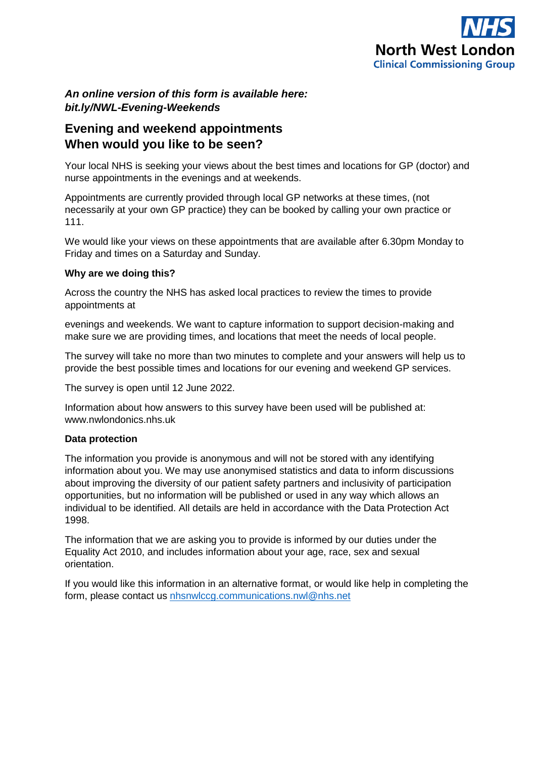

## *An online version of this form is available here: bit.ly/NWL-Evening-Weekends*

# **Evening and weekend appointments When would you like to be seen?**

Your local NHS is seeking your views about the best times and locations for GP (doctor) and nurse appointments in the evenings and at weekends.

Appointments are currently provided through local GP networks at these times, (not necessarily at your own GP practice) they can be booked by calling your own practice or 111.

We would like your views on these appointments that are available after 6.30pm Monday to Friday and times on a Saturday and Sunday.

### **Why are we doing this?**

Across the country the NHS has asked local practices to review the times to provide appointments at

evenings and weekends. We want to capture information to support decision-making and make sure we are providing times, and locations that meet the needs of local people.

The survey will take no more than two minutes to complete and your answers will help us to provide the best possible times and locations for our evening and weekend GP services.

The survey is open until 12 June 2022.

Information about how answers to this survey have been used will be published at: www.nwlondonics.nhs.uk

## **Data protection**

The information you provide is anonymous and will not be stored with any identifying information about you. We may use anonymised statistics and data to inform discussions about improving the diversity of our patient safety partners and inclusivity of participation opportunities, but no information will be published or used in any way which allows an individual to be identified. All details are held in accordance with the Data Protection Act 1998.

The information that we are asking you to provide is informed by our duties under the Equality Act 2010, and includes information about your age, race, sex and sexual orientation.

If you would like this information in an alternative format, or would like help in completing the form, please contact us [nhsnwlccg.communications.nwl@nhs.net](mailto:nhsnwlccg.communications.nwl@nhs.net)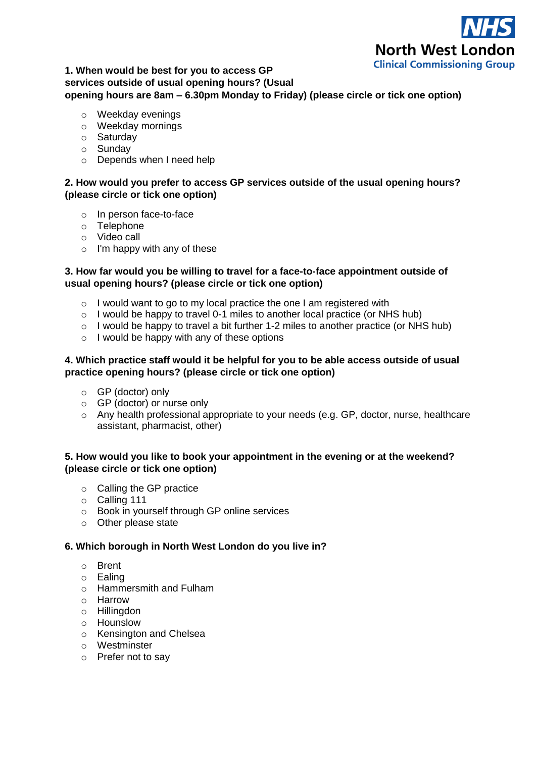

## **1. When would be best for you to access GP services outside of usual opening hours? (Usual opening hours are 8am – 6.30pm Monday to Friday) (please circle or tick one option)**

- o Weekday evenings
- o Weekday mornings
- o Saturday
- o Sunday
- o Depends when I need help

### **2. How would you prefer to access GP services outside of the usual opening hours? (please circle or tick one option)**

- o In person face-to-face
- o Telephone
- o Video call
- $\circ$  I'm happy with any of these

#### **3. How far would you be willing to travel for a face-to-face appointment outside of usual opening hours? (please circle or tick one option)**

- $\circ$  I would want to go to my local practice the one I am registered with
- $\circ$  I would be happy to travel 0-1 miles to another local practice (or NHS hub)
- $\circ$  I would be happy to travel a bit further 1-2 miles to another practice (or NHS hub)
- o I would be happy with any of these options

#### **4. Which practice staff would it be helpful for you to be able access outside of usual practice opening hours? (please circle or tick one option)**

- o GP (doctor) only
- o GP (doctor) or nurse only
- o Any health professional appropriate to your needs (e.g. GP, doctor, nurse, healthcare assistant, pharmacist, other)

#### **5. How would you like to book your appointment in the evening or at the weekend? (please circle or tick one option)**

- o Calling the GP practice
- o Calling 111
- o Book in yourself through GP online services
- o Other please state

#### **6. Which borough in North West London do you live in?**

- o Brent
- o Ealing
- o Hammersmith and Fulham
- o Harrow
- o Hillingdon
- o Hounslow
- o Kensington and Chelsea
- o Westminster
- o Prefer not to say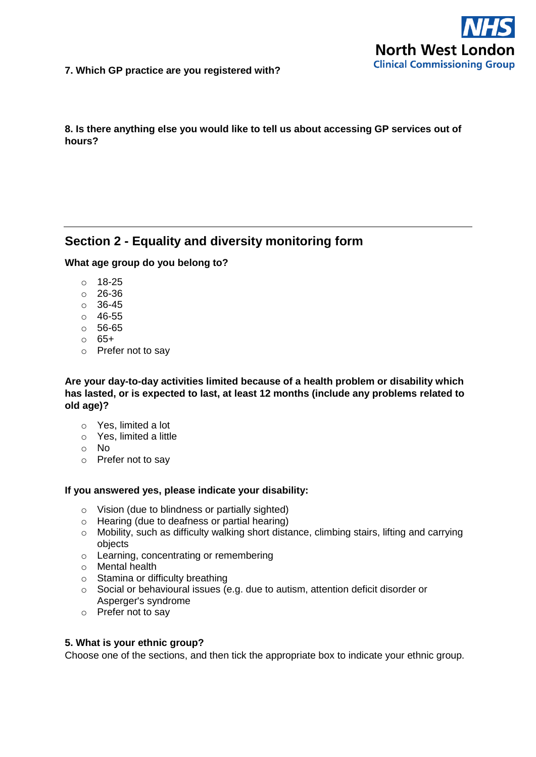

**7. Which GP practice are you registered with?**

**8. Is there anything else you would like to tell us about accessing GP services out of hours?**

# **Section 2 - Equality and diversity monitoring form**

#### **What age group do you belong to?**

- o 18-25
- o 26-36
- o 36-45
- o 46-55
- o 56-65
- o 65+
- o Prefer not to say

#### **Are your day-to-day activities limited because of a health problem or disability which has lasted, or is expected to last, at least 12 months (include any problems related to old age)?**

- o Yes, limited a lot
- o Yes, limited a little
- o No
- o Prefer not to say

#### **If you answered yes, please indicate your disability:**

- o Vision (due to blindness or partially sighted)
- o Hearing (due to deafness or partial hearing)
- o Mobility, such as difficulty walking short distance, climbing stairs, lifting and carrying objects
- o Learning, concentrating or remembering
- o Mental health
- o Stamina or difficulty breathing
- o Social or behavioural issues (e.g. due to autism, attention deficit disorder or Asperger's syndrome
- o Prefer not to say

#### **5. What is your ethnic group?**

Choose one of the sections, and then tick the appropriate box to indicate your ethnic group.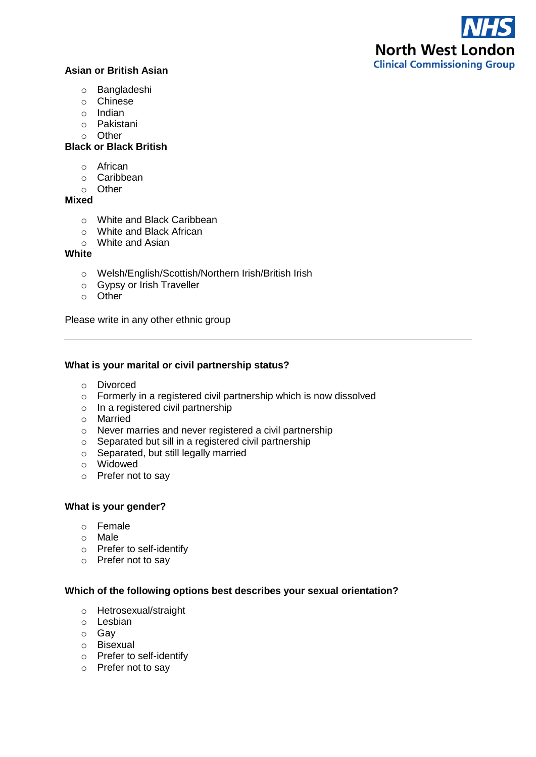# **Asian or British Asian**

- o Bangladeshi
- o Chinese
- o Indian
- o Pakistani
- o Other

### **Black or Black British**

- o African
- o Caribbean
- o Other

#### **Mixed**

- o White and Black Caribbean
- o White and Black African
- o White and Asian

### **White**

- o Welsh/English/Scottish/Northern Irish/British Irish
- o Gypsy or Irish Traveller
- o Other

Please write in any other ethnic group

#### **What is your marital or civil partnership status?**

- o Divorced
- o Formerly in a registered civil partnership which is now dissolved
- o In a registered civil partnership
- o Married
- o Never marries and never registered a civil partnership
- o Separated but sill in a registered civil partnership
- o Separated, but still legally married
- o Widowed
- o Prefer not to say

#### **What is your gender?**

- o Female
- o Male
- o Prefer to self-identify
- o Prefer not to say

#### **Which of the following options best describes your sexual orientation?**

- o Hetrosexual/straight
- o Lesbian
- o Gay
- o Bisexual
- o Prefer to self-identify
- o Prefer not to say